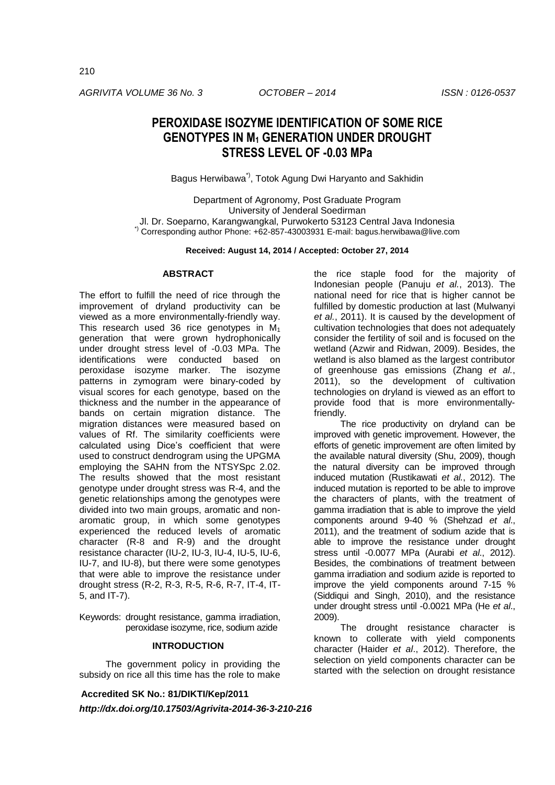*AGRIVITA VOLUME 36 No. 3 OCTOBER – 2014 ISSN : 0126-0537*

# **PEROXIDASE ISOZYME IDENTIFICATION OF SOME RICE GENOTYPES IN M<sup>1</sup> GENERATION UNDER DROUGHT STRESS LEVEL OF -0.03 MPa**

Bagus Herwibawa\*), Totok Agung Dwi Haryanto and Sakhidin

Department of Agronomy, Post Graduate Program University of Jenderal Soedirman Jl. Dr. Soeparno, Karangwangkal, Purwokerto 53123 Central Java Indonesia \*) Corresponding author Phone: +62-857-43003931 E-mail: [bagus.herwibawa@live.com](mailto:bagus.herwibawa@live.com)

**Received: August 14, 2014 / Accepted: October 27, 2014**

# **ABSTRACT**

The effort to fulfill the need of rice through the improvement of dryland productivity can be viewed as a more environmentally-friendly way. This research used 36 rice genotypes in  $M_1$ generation that were grown hydrophonically under drought stress level of -0.03 MPa. The identifications were conducted based on peroxidase isozyme marker. The isozyme patterns in zymogram were binary-coded by visual scores for each genotype, based on the thickness and the number in the appearance of bands on certain migration distance. The migration distances were measured based on values of Rf. The similarity coefficients were calculated using Dice's coefficient that were used to construct dendrogram using the UPGMA employing the SAHN from the NTSYSpc 2.02. The results showed that the most resistant genotype under drought stress was R-4, and the genetic relationships among the genotypes were divided into two main groups, aromatic and nonaromatic group, in which some genotypes experienced the reduced levels of aromatic character (R-8 and R-9) and the drought resistance character (IU-2, IU-3, IU-4, IU-5, IU-6, IU-7, and IU-8), but there were some genotypes that were able to improve the resistance under drought stress (R-2, R-3, R-5, R-6, R-7, IT-4, IT-5, and IT-7).

Keywords: drought resistance, gamma irradiation, peroxidase isozyme, rice, sodium azide

#### **INTRODUCTION**

The government policy in providing the subsidy on rice all this time has the role to make

**Accredited SK No.: 81/DIKTI/Kep/2011**

*http://dx.doi.org/10.17503/Agrivita-2014-36-3-210-216*

the rice staple food for the majority of Indonesian people (Panuju *et al.*, 2013). The national need for rice that is higher cannot be fulfilled by domestic production at last (Mulwanyi *et al.*, 2011). It is caused by the development of cultivation technologies that does not adequately consider the fertility of soil and is focused on the wetland (Azwir and Ridwan, 2009). Besides, the wetland is also blamed as the largest contributor of greenhouse gas emissions (Zhang *et al.*, 2011), so the development of cultivation technologies on dryland is viewed as an effort to provide food that is more environmentallyfriendly.

The rice productivity on dryland can be improved with genetic improvement. However, the efforts of genetic improvement are often limited by the available natural diversity (Shu, 2009), though the natural diversity can be improved through induced mutation (Rustikawati *et al.*, 2012). The induced mutation is reported to be able to improve the characters of plants, with the treatment of gamma irradiation that is able to improve the yield components around 9-40 % (Shehzad *et al*., 2011), and the treatment of sodium azide that is able to improve the resistance under drought stress until -0.0077 MPa (Aurabi *et al*., 2012). Besides, the combinations of treatment between gamma irradiation and sodium azide is reported to improve the yield components around 7-15 % (Siddiqui and Singh, 2010), and the resistance under drought stress until -0.0021 MPa (He *et al*., 2009).

The drought resistance character is known to collerate with yield components character (Haider *et al*., 2012). Therefore, the selection on yield components character can be started with the selection on drought resistance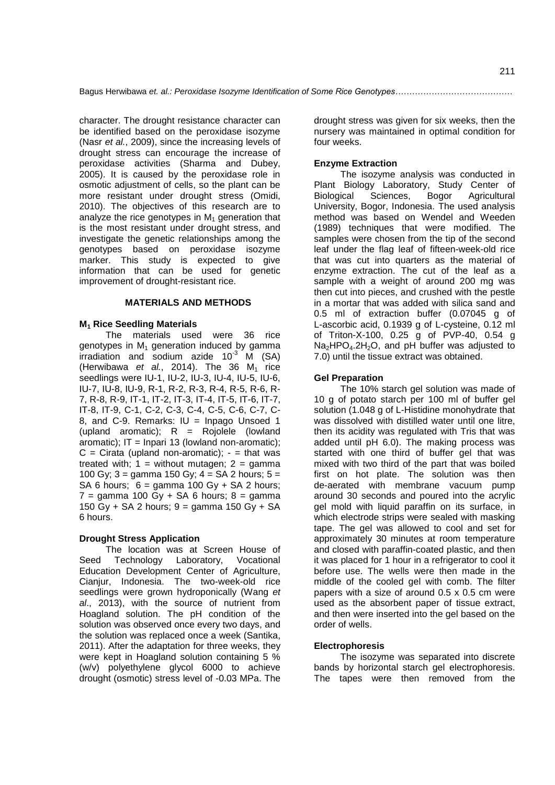character. The drought resistance character can be identified based on the peroxidase isozyme (Nasr *et al.*, 2009), since the increasing levels of drought stress can encourage the increase of peroxidase activities (Sharma and Dubey, 2005). It is caused by the peroxidase role in osmotic adjustment of cells, so the plant can be more resistant under drought stress (Omidi, 2010). The objectives of this research are to analyze the rice genotypes in  $M_1$  generation that is the most resistant under drought stress, and investigate the genetic relationships among the genotypes based on peroxidase isozyme marker. This study is expected to give information that can be used for genetic improvement of drought-resistant rice.

#### **MATERIALS AND METHODS**

## **M<sup>1</sup> Rice Seedling Materials**

The materials used were 36 rice  $a$ enotypes in  $M_1$  generation induced by gamma irradiation and sodium azide  $10^{-3}$  M (SA) (Herwibawa *et al.*, 2014). The 36  $M_1$  rice seedlings were IU-1, IU-2, IU-3, IU-4, IU-5, IU-6, IU-7, IU-8, IU-9, R-1, R-2, R-3, R-4, R-5, R-6, R-7, R-8, R-9, IT-1, IT-2, IT-3, IT-4, IT-5, IT-6, IT-7, IT-8, IT-9, C-1, C-2, C-3, C-4, C-5, C-6, C-7, C-8, and C-9. Remarks:  $IU = Inpage Unsoed 1$ (upland aromatic);  $R =$  Rojolele (lowland aromatic):  $IT = Inpari 13$  (lowland non-aromatic):  $C =$  Cirata (upland non-aromatic);  $-$  = that was treated with;  $1 =$  without mutagen;  $2 =$  gamma 100 Gy;  $3 =$  gamma 150 Gy;  $4 = SA$  2 hours;  $5 =$ SA 6 hours;  $6 = \text{gamma } 100 \text{ Gy} + \text{SA } 2 \text{ hours}$ ;  $7 =$  gamma 100 Gy + SA 6 hours;  $8 =$  gamma 150  $\text{Gy}$  + SA 2 hours; 9 = gamma 150  $\text{Gy}$  + SA 6 hours.

## **Drought Stress Application**

The location was at Screen House of Seed Technology Laboratory, Vocational Education Development Center of Agriculture, Cianjur, Indonesia. The two-week-old rice seedlings were grown hydroponically (Wang *et al*., 2013), with the source of nutrient from Hoagland solution. The pH condition of the solution was observed once every two days, and the solution was replaced once a week (Santika, 2011). After the adaptation for three weeks, they were kept in Hoagland solution containing 5 % (w/v) polyethylene glycol 6000 to achieve drought (osmotic) stress level of -0.03 MPa. The

drought stress was given for six weeks, then the nursery was maintained in optimal condition for four weeks.

# **Enzyme Extraction**

The isozyme analysis was conducted in Plant Biology Laboratory, Study Center of Biological Sciences, Bogor Agricultural University, Bogor, Indonesia. The used analysis method was based on Wendel and Weeden (1989) techniques that were modified. The samples were chosen from the tip of the second leaf under the flag leaf of fifteen-week-old rice that was cut into quarters as the material of enzyme extraction. The cut of the leaf as a sample with a weight of around 200 mg was then cut into pieces, and crushed with the pestle in a mortar that was added with silica sand and 0.5 ml of extraction buffer (0.07045 g of L-ascorbic acid, 0.1939 g of L-cysteine, 0.12 ml of Triton-X-100, 0.25 g of PVP-40, 0.54 g  $Na<sub>2</sub>HPO<sub>4</sub>$ .2H<sub>2</sub>O, and pH buffer was adjusted to 7.0) until the tissue extract was obtained.

## **Gel Preparation**

The 10% starch gel solution was made of 10 g of potato starch per 100 ml of buffer gel solution (1.048 g of L-Histidine monohydrate that was dissolved with distilled water until one litre, then its acidity was regulated with Tris that was added until pH 6.0). The making process was started with one third of buffer gel that was mixed with two third of the part that was boiled first on hot plate. The solution was then de-aerated with membrane vacuum pump around 30 seconds and poured into the acrylic gel mold with liquid paraffin on its surface, in which electrode strips were sealed with masking tape. The gel was allowed to cool and set for approximately 30 minutes at room temperature and closed with paraffin-coated plastic, and then it was placed for 1 hour in a refrigerator to cool it before use. The wells were then made in the middle of the cooled gel with comb. The filter papers with a size of around 0.5 x 0.5 cm were used as the absorbent paper of tissue extract, and then were inserted into the gel based on the order of wells.

## **Electrophoresis**

The isozyme was separated into discrete bands by horizontal starch gel electrophoresis. The tapes were then removed from the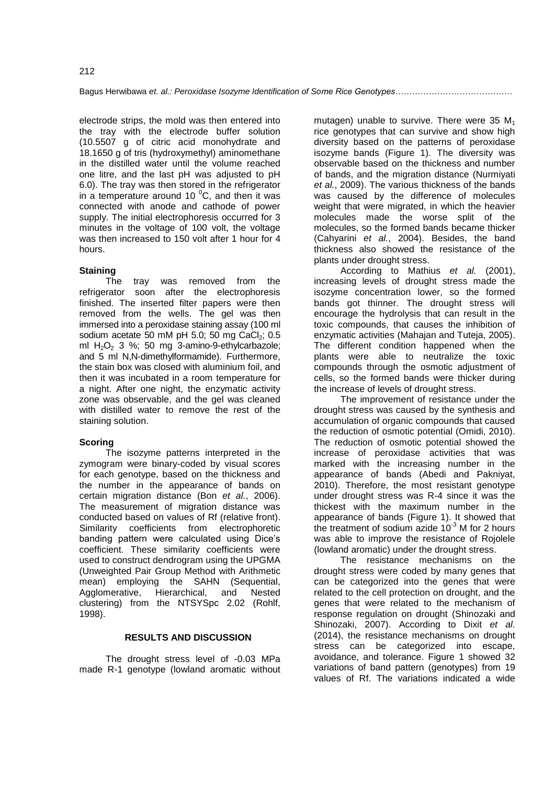electrode strips, the mold was then entered into the tray with the electrode buffer solution (10.5507 g of citric acid monohydrate and 18.1650 g of tris (hydroxymethyl) aminomethane in the distilled water until the volume reached one litre, and the last pH was adjusted to pH 6.0). The tray was then stored in the refrigerator in a temperature around 10 $\mathrm{^0C}$ , and then it was connected with anode and cathode of power supply. The initial electrophoresis occurred for 3 minutes in the voltage of 100 volt, the voltage was then increased to 150 volt after 1 hour for 4 hours.

## **Staining**

The tray was removed from the refrigerator soon after the electrophoresis finished. The inserted filter papers were then removed from the wells. The gel was then immersed into a peroxidase staining assay (100 ml sodium acetate 50 mM pH 5.0; 50 mg CaCl<sub>2</sub>; 0.5 ml  $H_2O_2$  3 %; 50 mg 3-amino-9-ethylcarbazole; and 5 ml N,N-dimethylformamide). Furthermore, the stain box was closed with aluminium foil, and then it was incubated in a room temperature for a night. After one night, the enzymatic activity zone was observable, and the gel was cleaned with distilled water to remove the rest of the staining solution.

## **Scoring**

The isozyme patterns interpreted in the zymogram were binary-coded by visual scores for each genotype, based on the thickness and the number in the appearance of bands on certain migration distance (Bon *et al.*, 2006). The measurement of migration distance was conducted based on values of Rf (relative front). Similarity coefficients from electrophoretic banding pattern were calculated using Dice's coefficient. These similarity coefficients were used to construct dendrogram using the UPGMA (Unweighted Pair Group Method with Arithmetic mean) employing the SAHN (Sequential, Agglomerative, Hierarchical, and Nested clustering) from the NTSYSpc 2.02 (Rohlf, 1998).

# **RESULTS AND DISCUSSION**

The drought stress level of -0.03 MPa made R-1 genotype (lowland aromatic without

mutagen) unable to survive. There were 35  $M_1$ rice genotypes that can survive and show high diversity based on the patterns of peroxidase isozyme bands (Figure 1). The diversity was observable based on the thickness and number of bands, and the migration distance (Nurmiyati *et al.*, 2009). The various thickness of the bands was caused by the difference of molecules weight that were migrated, in which the heavier molecules made the worse split of the molecules, so the formed bands became thicker (Cahyarini *et al.*, 2004). Besides, the band thickness also showed the resistance of the plants under drought stress.

According to Mathius *et al.* (2001), increasing levels of drought stress made the isozyme concentration lower, so the formed bands got thinner. The drought stress will encourage the hydrolysis that can result in the toxic compounds, that causes the inhibition of enzymatic activities (Mahajan and Tuteja, 2005). The different condition happened when the plants were able to neutralize the toxic compounds through the osmotic adjustment of cells, so the formed bands were thicker during the increase of levels of drought stress.

The improvement of resistance under the drought stress was caused by the synthesis and accumulation of organic compounds that caused the reduction of osmotic potential (Omidi, 2010). The reduction of osmotic potential showed the increase of peroxidase activities that was marked with the increasing number in the appearance of bands (Abedi and Pakniyat, 2010). Therefore, the most resistant genotype under drought stress was R-4 since it was the thickest with the maximum number in the appearance of bands (Figure 1). It showed that the treatment of sodium azide  $10^{-3}$  M for 2 hours was able to improve the resistance of Rojolele (lowland aromatic) under the drought stress.

The resistance mechanisms on the drought stress were coded by many genes that can be categorized into the genes that were related to the cell protection on drought, and the genes that were related to the mechanism of response regulation on drought (Shinozaki and Shinozaki, 2007). According to Dixit *et al.* (2014), the resistance mechanisms on drought stress can be categorized into escape, avoidance, and tolerance. Figure 1 showed 32 variations of band pattern (genotypes) from 19 values of Rf. The variations indicated a wide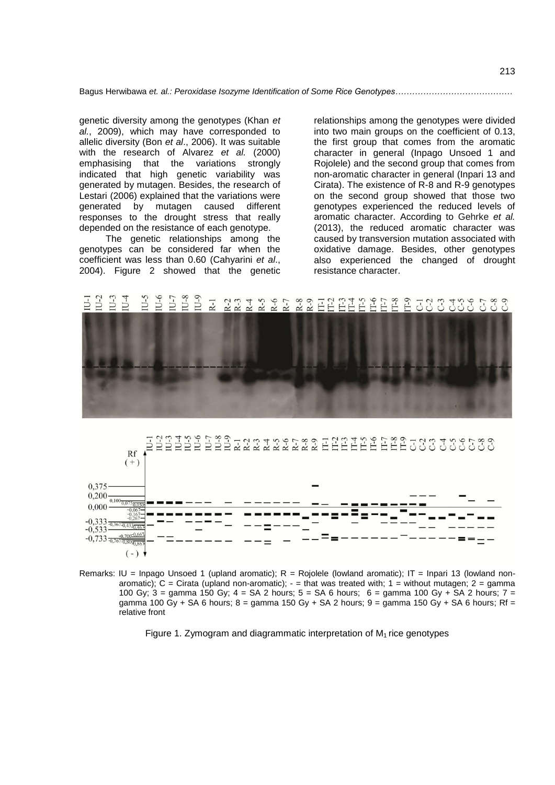Bagus Herwibawa *et. al.: Peroxidase Isozyme Identification of Some Rice Genotypes……………………………………*

genetic diversity among the genotypes (Khan *et al.*, 2009), which may have corresponded to allelic diversity (Bon *et al*., 2006). It was suitable with the research of Alvarez *et al.* (2000) emphasising that the variations strongly indicated that high genetic variability was generated by mutagen. Besides, the research of Lestari (2006) explained that the variations were generated by mutagen caused different responses to the drought stress that really depended on the resistance of each genotype.

The genetic relationships among the genotypes can be considered far when the coefficient was less than 0.60 (Cahyarini *et al*., 2004). Figure 2 showed that the genetic

relationships among the genotypes were divided into two main groups on the coefficient of 0.13, the first group that comes from the aromatic character in general (Inpago Unsoed 1 and Rojolele) and the second group that comes from non-aromatic character in general (Inpari 13 and Cirata). The existence of R-8 and R-9 genotypes on the second group showed that those two genotypes experienced the reduced levels of aromatic character. According to Gehrke *et al.* (2013), the reduced aromatic character was caused by transversion mutation associated with oxidative damage. Besides, other genotypes also experienced the changed of drought resistance character.

#### $R-3$ 급입 옵션 옵 옵 옵 옵 공장 양 경영을 통 좋 알  $2 - 5$  $\overline{2}$





Remarks: IU = Inpago Unsoed 1 (upland aromatic);  $R = Rojolele$  (lowland aromatic); IT = Inpari 13 (lowland nonaromatic);  $C =$  Cirata (upland non-aromatic);  $-$  = that was treated with;  $1 =$  without mutagen;  $2 =$  gamma 100 Gy;  $3 =$  gamma 150 Gy;  $4 = SA$  2 hours;  $5 = SA$  6 hours;  $6 =$  gamma 100 Gy + SA 2 hours;  $7 =$ gamma 100 Gy + SA 6 hours; 8 = gamma 150 Gy + SA 2 hours; 9 = gamma 150 Gy + SA 6 hours; Rf = relative front

Figure 1. Zymogram and diagrammatic interpretation of  $M<sub>1</sub>$  rice genotypes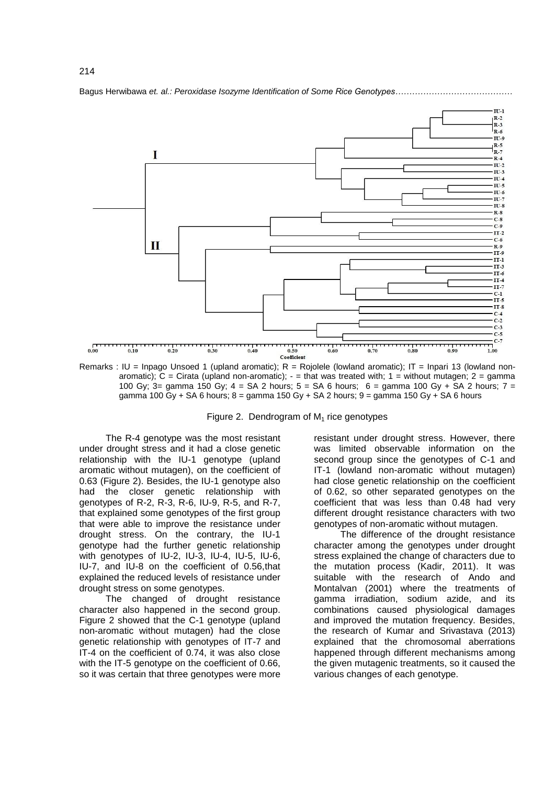

Bagus Herwibawa *et. al.: Peroxidase Isozyme Identification of Some Rice Genotypes……………………………………*

Remarks : IU = Inpago Unsoed 1 (upland aromatic);  $R =$  Rojolele (lowland aromatic); IT = Inpari 13 (lowland nonaromatic); C = Cirata (upland non-aromatic);  $-$  = that was treated with; 1 = without mutagen; 2 = gamma 100 Gy;  $3=$  gamma 150 Gy;  $4 = SA 2$  hours;  $5 = SA 6$  hours;  $6 =$  gamma 100 Gy + SA 2 hours;  $7 =$ gamma 100 Gy + SA 6 hours;  $8 =$  gamma 150 Gy + SA 2 hours;  $9 =$  gamma 150 Gy + SA 6 hours

Figure 2. Dendrogram of  $M_1$  rice genotypes

The R-4 genotype was the most resistant under drought stress and it had a close genetic relationship with the IU-1 genotype (upland aromatic without mutagen), on the coefficient of 0.63 (Figure 2). Besides, the IU-1 genotype also had the closer genetic relationship with genotypes of R-2, R-3, R-6, IU-9, R-5, and R-7, that explained some genotypes of the first group that were able to improve the resistance under drought stress. On the contrary, the IU-1 genotype had the further genetic relationship with genotypes of IU-2, IU-3, IU-4, IU-5, IU-6, IU-7, and IU-8 on the coefficient of 0.56,that explained the reduced levels of resistance under drought stress on some genotypes.

The changed of drought resistance character also happened in the second group. Figure 2 showed that the C-1 genotype (upland non-aromatic without mutagen) had the close genetic relationship with genotypes of IT-7 and IT-4 on the coefficient of 0.74, it was also close with the IT-5 genotype on the coefficient of 0.66, so it was certain that three genotypes were more

resistant under drought stress. However, there was limited observable information on the second group since the genotypes of C-1 and IT-1 (lowland non-aromatic without mutagen) had close genetic relationship on the coefficient of 0.62, so other separated genotypes on the coefficient that was less than 0.48 had very different drought resistance characters with two genotypes of non-aromatic without mutagen.

The difference of the drought resistance character among the genotypes under drought stress explained the change of characters due to the mutation process (Kadir, 2011). It was suitable with the research of Ando and Montalvan (2001) where the treatments of gamma irradiation, sodium azide, and its combinations caused physiological damages and improved the mutation frequency. Besides, the research of Kumar and Srivastava (2013) explained that the chromosomal aberrations happened through different mechanisms among the given mutagenic treatments, so it caused the various changes of each genotype.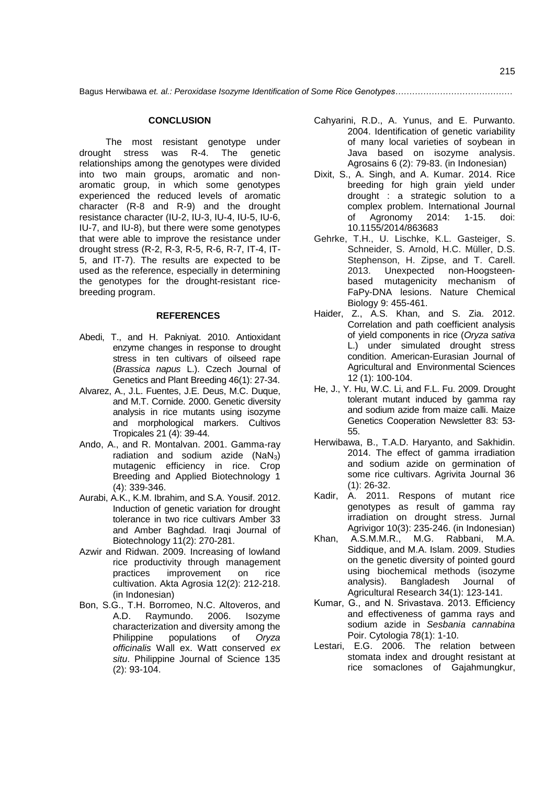#### **CONCLUSION**

The most resistant genotype under drought stress was R-4. The genetic relationships among the genotypes were divided into two main groups, aromatic and nonaromatic group, in which some genotypes experienced the reduced levels of aromatic character (R-8 and R-9) and the drought resistance character (IU-2, IU-3, IU-4, IU-5, IU-6, IU-7, and IU-8), but there were some genotypes that were able to improve the resistance under drought stress (R-2, R-3, R-5, R-6, R-7, IT-4, IT-5, and IT-7). The results are expected to be used as the reference, especially in determining the genotypes for the drought-resistant ricebreeding program.

#### **REFERENCES**

- Abedi, T., and H. Pakniyat. 2010. Antioxidant enzyme changes in response to drought stress in ten cultivars of oilseed rape (*Brassica napus* L.). Czech Journal of Genetics and Plant Breeding 46(1): 27-34.
- Alvarez, A., J.L. Fuentes, J.E. Deus, M.C. Duque, and M.T. Cornide. 2000. Genetic diversity analysis in rice mutants using isozyme and morphological markers. Cultivos Tropicales 21 (4): 39-44.
- Ando, A., and R. Montalvan. 2001. Gamma-ray radiation and sodium azide  $(NaN_3)$ mutagenic efficiency in rice. Crop Breeding and Applied Biotechnology 1 (4): 339-346.
- Aurabi, A.K., K.M. Ibrahim, and S.A. Yousif. 2012. Induction of genetic variation for drought tolerance in two rice cultivars Amber 33 and Amber Baghdad. Iraqi Journal of Biotechnology 11(2): 270-281.
- Azwir and Ridwan. 2009. Increasing of lowland rice productivity through management practices improvement on rice cultivation. Akta Agrosia 12(2): 212-218. (in Indonesian)
- Bon, S.G., T.H. Borromeo, N.C. Altoveros, and<br>A.D. Raymundo. 2006. Isozyme Raymundo. 2006. Isozyme characterization and diversity among the Philippine populations of *Oryza officinalis* Wall ex. Watt conserved *ex situ*. Philippine Journal of Science 135 (2): 93-104.
- Cahyarini, R.D., A. Yunus, and E. Purwanto. 2004. Identification of genetic variability of many local varieties of soybean in Java based on isozyme analysis. Agrosains 6 (2): 79-83. (in Indonesian)
- Dixit, S., A. Singh, and A. Kumar. 2014. Rice breeding for high grain yield under drought : a strategic solution to a complex problem. International Journal of Agronomy 2014: 1-15. doi: 10.1155/2014/863683
- Gehrke, T.H., U. Lischke, K.L. Gasteiger, S. Schneider, S. Arnold, H.C. Müller, D.S. Stephenson, H. Zipse, and T. Carell. 2013. Unexpected non-Hoogsteenbased mutagenicity mechanism of FaPy-DNA lesions. Nature Chemical Biology 9: 455-461.
- Haider, Z., A.S. Khan, and S. Zia. 2012. Correlation and path coefficient analysis of yield components in rice (*Oryza sativa* L.) under simulated drought stress condition. American-Eurasian Journal of Agricultural and Environmental Sciences 12 (1): 100-104.
- He, J., Y. Hu, W.C. Li, and F.L. Fu. 2009. Drought tolerant mutant induced by gamma ray and sodium azide from maize calli. Maize Genetics Cooperation Newsletter 83: 53- 55.
- Herwibawa, B., T.A.D. Haryanto, and Sakhidin. 2014. The effect of gamma irradiation and sodium azide on germination of some rice cultivars. Agrivita Journal 36 (1): 26-32.
- Kadir, A. 2011. Respons of mutant rice genotypes as result of gamma ray irradiation on drought stress. Jurnal Agrivigor 10(3): 235-246. (in Indonesian)
- Khan, A.S.M.M.R., M.G. Rabbani, M.A. Siddique, and M.A. Islam. 2009. Studies on the genetic diversity of pointed gourd using biochemical methods (isozyme analysis). Bangladesh Journal of Agricultural Research 34(1): 123-141.
- Kumar, G., and N. Srivastava. 2013. Efficiency and effectiveness of gamma rays and sodium azide in *Sesbania cannabina* Poir. Cytologia 78(1): 1-10.
- Lestari, E.G. 2006. The relation between stomata index and drought resistant at rice somaclones of Gajahmungkur,